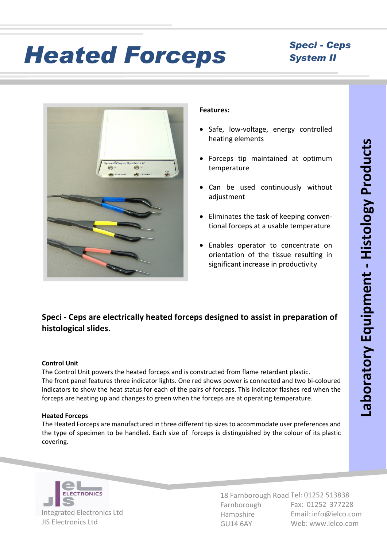# *Heated Forceps Speci - Ceps*

### *System II*



#### **Features:**

- Safe, low-voltage, energy controlled heating elements
- Forceps tip maintained at optimum temperature
- · Can be used continuously without adiustment
- · Eliminates the task of keeping conven tional forceps at a usable temperature
- ·Enables operator to concentrate on orientation of the tissue resulting in significant increase in productivity

### **Speci - Ceps are electrically heated forceps designed to assist in preparation of histological slides.**

#### **Control Unit**

The Control Unit powers the heated forceps and is constructed from flame retardant plastic. The front panel features three indicator lights. One red shows power is connected and two bi-coloured indicators to show the heat status for each of the pairs of forceps. This indicator flashes red when the forceps are heating up and changes to green when the forceps are at operating temperature.

#### **Heated Forceps**

The Heated Forceps are manufactured in three different tip sizes to accommodate user preferences and the type of specimen to be handled. Each size of forceps is distinguished by the colour of its plastic covering.



18 Farnborough Road Tel: 01252 513838 Farnborough Hampshire GU14 6AY Fax: 01252 377228 Email: info@ielco.com Web: www.ielco.com